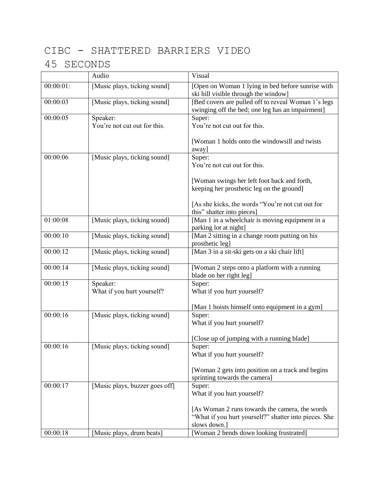## CIBC - SHATTERED BARRIERS VIDEO

## 45 SECONDS

|              | Audio                                    | Visual                                                                                                                  |
|--------------|------------------------------------------|-------------------------------------------------------------------------------------------------------------------------|
| $00:00:01$ : | [Music plays, ticking sound]             | [Open on Woman 1 lying in bed before sunrise with<br>ski hill visible through the window]                               |
| 00:00:03     | [Music plays, ticking sound]             | [Bed covers are pulled off to reveal Woman 1's legs<br>swinging off the bed; one leg has an impairment]                 |
| 00:00:05     | Speaker:<br>You're not cut out for this. | Super:<br>You're not cut out for this.                                                                                  |
|              |                                          | [Woman 1 holds onto the windowsill and twists]<br>away]                                                                 |
| 00:00:06     | [Music plays, ticking sound]             | Super:<br>You're not cut out for this.                                                                                  |
|              |                                          | [Woman swings her left foot back and forth,<br>keeping her prosthetic leg on the ground]                                |
|              |                                          | [As she kicks, the words "You're not cut out for<br>this" shatter into pieces]                                          |
| 01:00:08     | [Music plays, ticking sound]             | [Man 1 in a wheelchair is moving equipment in a<br>parking lot at night]                                                |
| 00:00:10     | [Music plays, ticking sound]             | [Man 2 sitting in a change room putting on his<br>prosthetic leg]                                                       |
| 00:00:12     | [Music plays, ticking sound]             | [Man 3 in a sit-ski gets on a ski chair lift]                                                                           |
| 00:00:14     | [Music plays, ticking sound]             | [Woman 2 steps onto a platform with a running]<br>blade on her right leg]                                               |
| 00:00:15     | Speaker:<br>What if you hurt yourself?   | Super:<br>What if you hurt yourself?                                                                                    |
|              |                                          | [Man 1 hoists himself onto equipment in a gym]                                                                          |
| 00:00:16     | [Music plays, ticking sound]             | Super:<br>What if you hurt yourself?                                                                                    |
|              |                                          | [Close up of jumping with a running blade]                                                                              |
| 00:00:16     | [Music plays, ticking sound]             | Super:<br>What if you hurt yourself?                                                                                    |
|              |                                          | [Woman 2 gets into position on a track and begins<br>sprinting towards the camera]                                      |
| 00:00:17     | [Music plays, buzzer goes off]           | Super:<br>What if you hurt yourself?                                                                                    |
|              |                                          | [As Woman 2 runs towards the camera, the words<br>"What if you hurt yourself?" shatter into pieces. She<br>slows down.] |
| 00:00:18     | [Music plays, drum beats]                | [Woman 2 bends down looking frustrated]                                                                                 |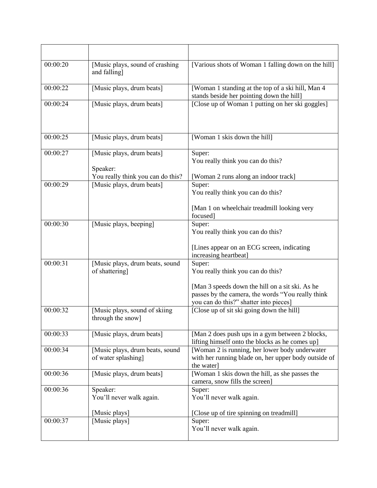| 00:00:20 | [Music plays, sound of crashing<br>and falling]                            | [Various shots of Woman 1 falling down on the hill]                                                                                                                                           |
|----------|----------------------------------------------------------------------------|-----------------------------------------------------------------------------------------------------------------------------------------------------------------------------------------------|
| 00:00:22 | [Music plays, drum beats]                                                  | [Woman 1 standing at the top of a ski hill, Man 4<br>stands beside her pointing down the hill]                                                                                                |
| 00:00:24 | [Music plays, drum beats]                                                  | [Close up of Woman 1 putting on her ski goggles]                                                                                                                                              |
| 00:00:25 | [Music plays, drum beats]                                                  | [Woman 1 skis down the hill]                                                                                                                                                                  |
| 00:00:27 | [Music plays, drum beats]<br>Speaker:<br>You really think you can do this? | Super:<br>You really think you can do this?<br>[Woman 2 runs along an indoor track]                                                                                                           |
| 00:00:29 | [Music plays, drum beats]                                                  | Super:<br>You really think you can do this?<br>[Man 1 on wheelchair treadmill looking very<br>focused]                                                                                        |
| 00:00:30 | [Music plays, beeping]                                                     | Super:<br>You really think you can do this?<br>[Lines appear on an ECG screen, indicating<br>increasing heartbeat]                                                                            |
| 00:00:31 | [Music plays, drum beats, sound<br>of shattering]                          | Super:<br>You really think you can do this?<br>[Man 3 speeds down the hill on a sit ski. As he<br>passes by the camera, the words "You really think<br>you can do this?" shatter into pieces] |
| 00:00:32 | [Music plays, sound of skiing]<br>through the snow]                        | [Close up of sit ski going down the hill]                                                                                                                                                     |
| 00:00:33 | [Music plays, drum beats]                                                  | [Man 2 does push ups in a gym between 2 blocks,<br>lifting himself onto the blocks as he comes up]                                                                                            |
| 00:00:34 | [Music plays, drum beats, sound<br>of water splashing]                     | [Woman 2 is running, her lower body underwater<br>with her running blade on, her upper body outside of<br>the water                                                                           |
| 00:00:36 | [Music plays, drum beats]                                                  | [Woman 1 skis down the hill, as she passes the<br>camera, snow fills the screen]                                                                                                              |
| 00:00:36 | Speaker:<br>You'll never walk again.<br>[Music plays]                      | Super:<br>You'll never walk again.<br>[Close up of tire spinning on treadmill]                                                                                                                |
| 00:00:37 | [Music plays]                                                              | Super:<br>You'll never walk again.                                                                                                                                                            |